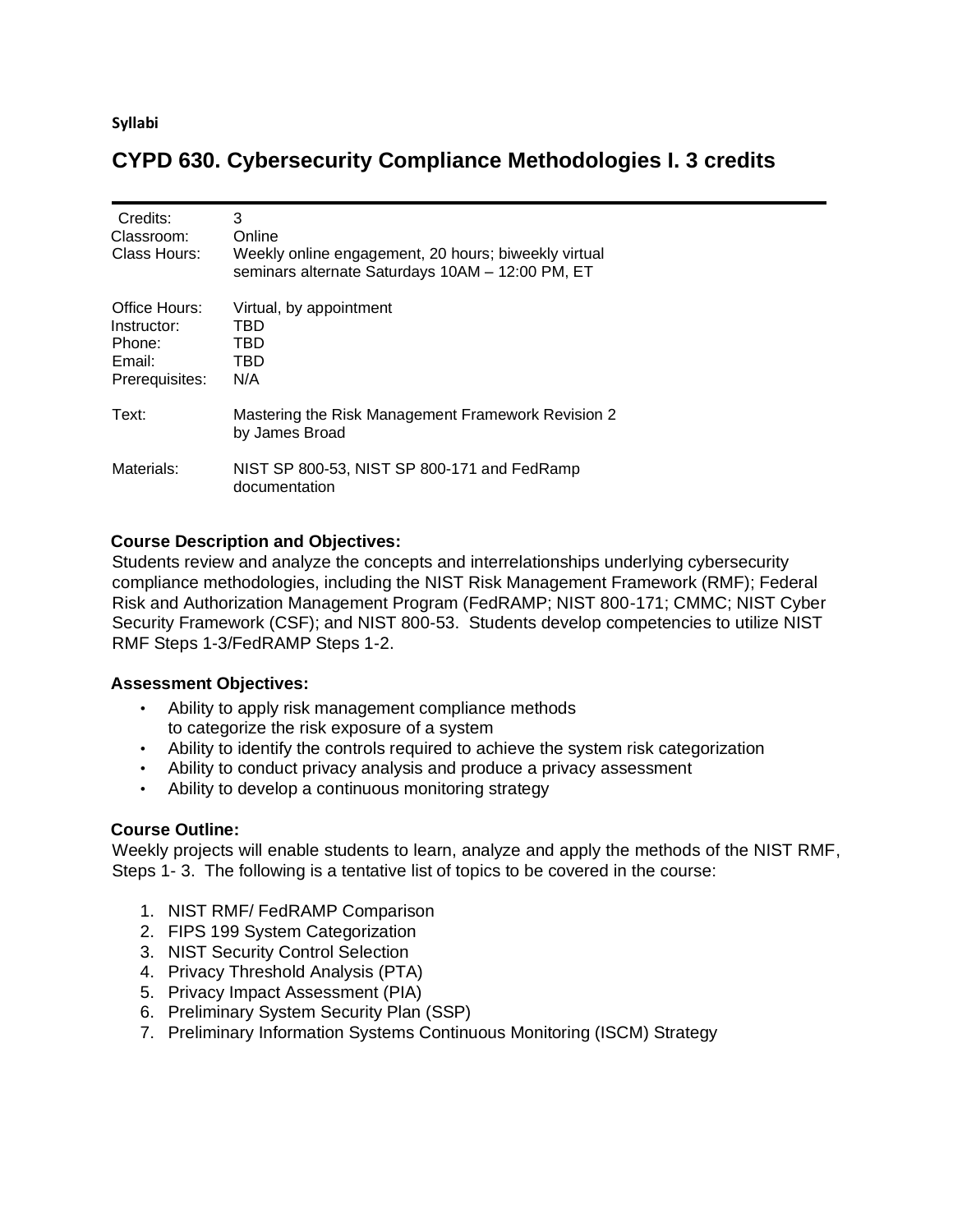**Syllabi**

# **CYPD 630. Cybersecurity Compliance Methodologies I. 3 credits**

| Credits:<br>Classroom:<br>Class Hours:                             | 3<br>Online<br>Weekly online engagement, 20 hours; biweekly virtual<br>seminars alternate Saturdays 10AM - 12:00 PM, ET |
|--------------------------------------------------------------------|-------------------------------------------------------------------------------------------------------------------------|
| Office Hours:<br>Instructor:<br>Phone:<br>Email:<br>Prerequisites: | Virtual, by appointment<br>TBD<br>TBD<br>TBD<br>N/A                                                                     |
| Text:                                                              | Mastering the Risk Management Framework Revision 2<br>by James Broad                                                    |
| Materials:                                                         | NIST SP 800-53, NIST SP 800-171 and FedRamp<br>documentation                                                            |

### **Course Description and Objectives:**

Students review and analyze the concepts and interrelationships underlying cybersecurity compliance methodologies, including the NIST Risk Management Framework (RMF); Federal Risk and Authorization Management Program (FedRAMP; NIST 800-171; CMMC; NIST Cyber Security Framework (CSF); and NIST 800-53. Students develop competencies to utilize NIST RMF Steps 1-3/FedRAMP Steps 1-2.

#### **Assessment Objectives:**

- Ability to apply risk management compliance methods to categorize the risk exposure of a system
- Ability to identify the controls required to achieve the system risk categorization
- Ability to conduct privacy analysis and produce a privacy assessment
- Ability to develop a continuous monitoring strategy

#### **Course Outline:**

Weekly projects will enable students to learn, analyze and apply the methods of the NIST RMF, Steps 1- 3. The following is a tentative list of topics to be covered in the course:

- 1. NIST RMF/ FedRAMP Comparison
- 2. FIPS 199 System Categorization
- 3. NIST Security Control Selection
- 4. Privacy Threshold Analysis (PTA)
- 5. Privacy Impact Assessment (PIA)
- 6. Preliminary System Security Plan (SSP)
- 7. Preliminary Information Systems Continuous Monitoring (ISCM) Strategy